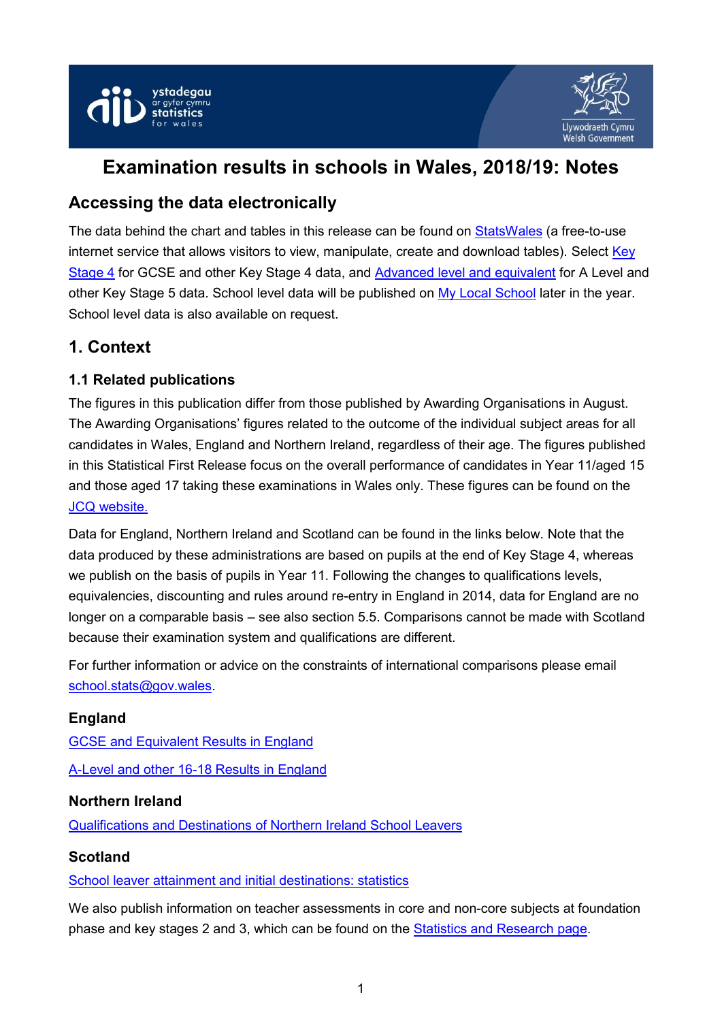



# **Examination results in schools in Wales, 2018/19: Notes**

## **Accessing the data electronically**

The data behind the chart and tables in this release can be found on [StatsWales](https://statswales.gov.wales/Catalogue/Education-and-Skills/Schools-and-Teachers/Examinations-and-Assessments) (a free-to-use internet service that allows visitors to view, manipulate, create and download tables). Select [Key](https://statswales.gov.wales/Catalogue/Education-and-Skills/Schools-and-Teachers/Examinations-and-Assessments/Key-Stage-4)  [Stage 4](https://statswales.gov.wales/Catalogue/Education-and-Skills/Schools-and-Teachers/Examinations-and-Assessments/Key-Stage-4) for GCSE and other Key Stage 4 data, and [Advanced level and equivalent](https://statswales.gov.wales/Catalogue/Education-and-Skills/Schools-and-Teachers/Examinations-and-Assessments/Advanced-Level-and-Equivalent) for A Level and other Key Stage 5 data. School level data will be published on [My Local School](http://mylocalschool.wales.gov.uk/) later in the year. School level data is also available on request.

## **1. Context**

### **1.1 Related publications**

The figures in this publication differ from those published by Awarding Organisations in August. The Awarding Organisations' figures related to the outcome of the individual subject areas for all candidates in Wales, England and Northern Ireland, regardless of their age. The figures published in this Statistical First Release focus on the overall performance of candidates in Year 11/aged 15 and those aged 17 taking these examinations in Wales only. These figures can be found on the [JCQ website.](http://www.jcq.org.uk/examination-results)

Data for England, Northern Ireland and Scotland can be found in the links below. Note that the data produced by these administrations are based on pupils at the end of Key Stage 4, whereas we publish on the basis of pupils in Year 11. Following the changes to qualifications levels, equivalencies, discounting and rules around re-entry in England in 2014, data for England are no longer on a comparable basis – see also section 5.5. Comparisons cannot be made with Scotland because their examination system and qualifications are different.

For further information or advice on the constraints of international comparisons please email [school.stats@gov.wales.](mailto:school.stats@gov.wales)

#### **England**

[GCSE and Equivalent Results in England](https://www.gov.uk/government/collections/statistics-gcses-key-stage-4#gcse-and-equivalent-results,-including-pupil-characteristics) [A-Level and other 16-18 Results in England](https://www.gov.uk/government/statistics/announcements/a-level-and-other-16-18-results-2017-to-2018-revised)

#### **Northern Ireland**

[Qualifications and Destinations of Northern Ireland School Leavers](https://www.education-ni.gov.uk/articles/school-leavers)

#### **Scotland**

[School leaver attainment and initial destinations: statistics](https://www.gov.scot/publications/summary-statistics-attainment-initial-leaver-destinations-1-2019-edition/)

We also publish information on teacher assessments in core and non-core subjects at foundation phase and key stages 2 and 3, which can be found on the [Statistics and Research page.](https://gov.wales/statistics-and-research)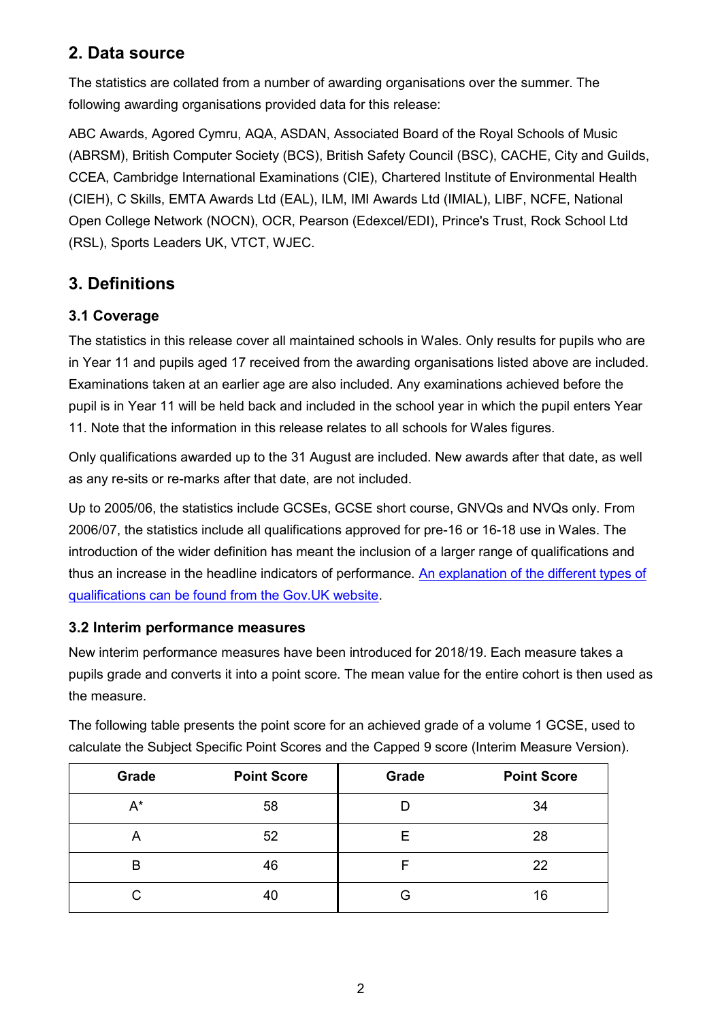## **2. Data source**

The statistics are collated from a number of awarding organisations over the summer. The following awarding organisations provided data for this release:

ABC Awards, Agored Cymru, AQA, ASDAN, Associated Board of the Royal Schools of Music (ABRSM), British Computer Society (BCS), British Safety Council (BSC), CACHE, City and Guilds, CCEA, Cambridge International Examinations (CIE), Chartered Institute of Environmental Health (CIEH), C Skills, EMTA Awards Ltd (EAL), ILM, IMI Awards Ltd (IMIAL), LIBF, NCFE, National Open College Network (NOCN), OCR, Pearson (Edexcel/EDI), Prince's Trust, Rock School Ltd (RSL), Sports Leaders UK, VTCT, WJEC.

## **3. Definitions**

## **3.1 Coverage**

The statistics in this release cover all maintained schools in Wales. Only results for pupils who are in Year 11 and pupils aged 17 received from the awarding organisations listed above are included. Examinations taken at an earlier age are also included. Any examinations achieved before the pupil is in Year 11 will be held back and included in the school year in which the pupil enters Year 11. Note that the information in this release relates to all schools for Wales figures.

Only qualifications awarded up to the 31 August are included. New awards after that date, as well as any re-sits or re-marks after that date, are not included.

Up to 2005/06, the statistics include GCSEs, GCSE short course, GNVQs and NVQs only. From 2006/07, the statistics include all qualifications approved for pre-16 or 16-18 use in Wales. The introduction of the wider definition has meant the inclusion of a larger range of qualifications and thus an increase in the headline indicators of performance. [An explanation of the different types of](https://www.gov.uk/what-different-qualification-levels-mean)  [qualifications can be found from the Gov.UK website.](https://www.gov.uk/what-different-qualification-levels-mean)

### **3.2 Interim performance measures**

New interim performance measures have been introduced for 2018/19. Each measure takes a pupils grade and converts it into a point score. The mean value for the entire cohort is then used as the measure.

| Grade | <b>Point Score</b> | Grade | <b>Point Score</b> |
|-------|--------------------|-------|--------------------|
| $A^*$ | 58                 | D     | 34                 |
| Α     | 52                 | Е     | 28                 |
| B     | 46                 | F     | 22                 |
| C.    | 40                 | G     | 16                 |

The following table presents the point score for an achieved grade of a volume 1 GCSE, used to calculate the Subject Specific Point Scores and the Capped 9 score (Interim Measure Version).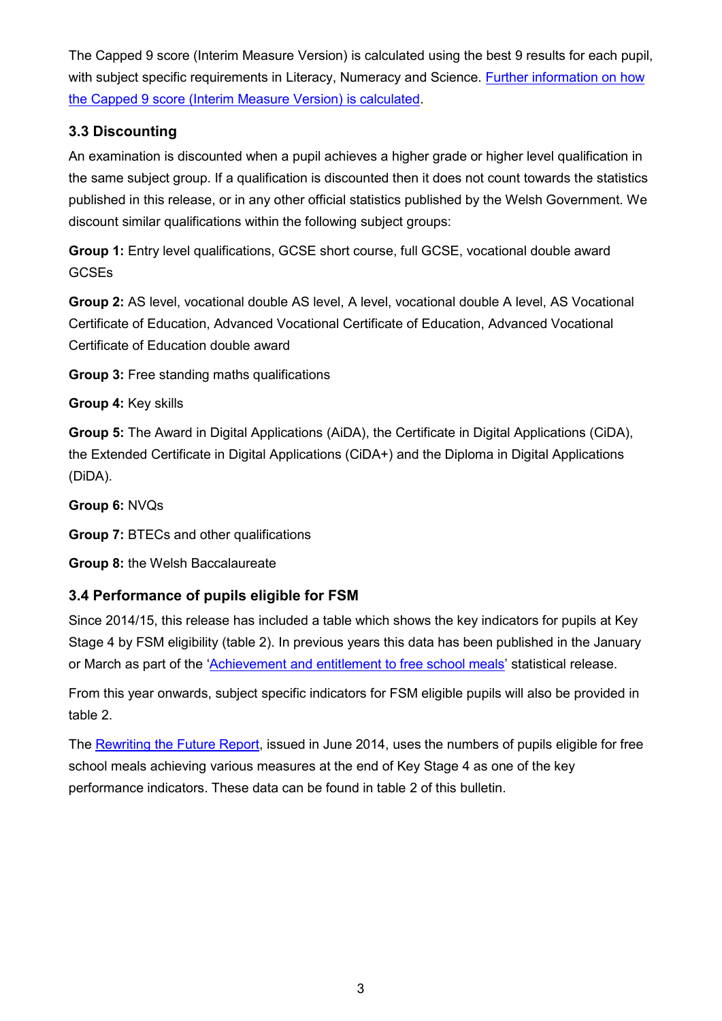The Capped 9 score (Interim Measure Version) is calculated using the best 9 results for each pupil, with subject specific requirements in Literacy, Numeracy and Science. Further information on how [the Capped 9 score \(Interim Measure Version\) is calculated.](https://gov.wales/capped-9-points-score-interim)

### **3.3 Discounting**

An examination is discounted when a pupil achieves a higher grade or higher level qualification in the same subject group. If a qualification is discounted then it does not count towards the statistics published in this release, or in any other official statistics published by the Welsh Government. We discount similar qualifications within the following subject groups:

**Group 1:** Entry level qualifications, GCSE short course, full GCSE, vocational double award **GCSEs** 

**Group 2:** AS level, vocational double AS level, A level, vocational double A level, AS Vocational Certificate of Education, Advanced Vocational Certificate of Education, Advanced Vocational Certificate of Education double award

**Group 3:** Free standing maths qualifications

**Group 4:** Key skills

**Group 5:** The Award in Digital Applications (AiDA), the Certificate in Digital Applications (CiDA), the Extended Certificate in Digital Applications (CiDA+) and the Diploma in Digital Applications (DiDA).

**Group 6:** NVQs

**Group 7:** BTECs and other qualifications

**Group 8:** the Welsh Baccalaureate

### **3.4 Performance of pupils eligible for FSM**

Since 2014/15, this release has included a table which shows the key indicators for pupils at Key Stage 4 by FSM eligibility (table 2). In previous years this data has been published in the January or March as part of the '[Achievement and entitlement to free school meals](https://gov.wales/achievement-and-entitlement-free-school-meals)' statistical release.

From this year onwards, subject specific indicators for FSM eligible pupils will also be provided in table 2.

The [Rewriting the Future Report,](https://gov.wales/rewriting-future-raising-ambition-and-attainment) issued in June 2014, uses the numbers of pupils eligible for free school meals achieving various measures at the end of Key Stage 4 as one of the key performance indicators. These data can be found in table 2 of this bulletin.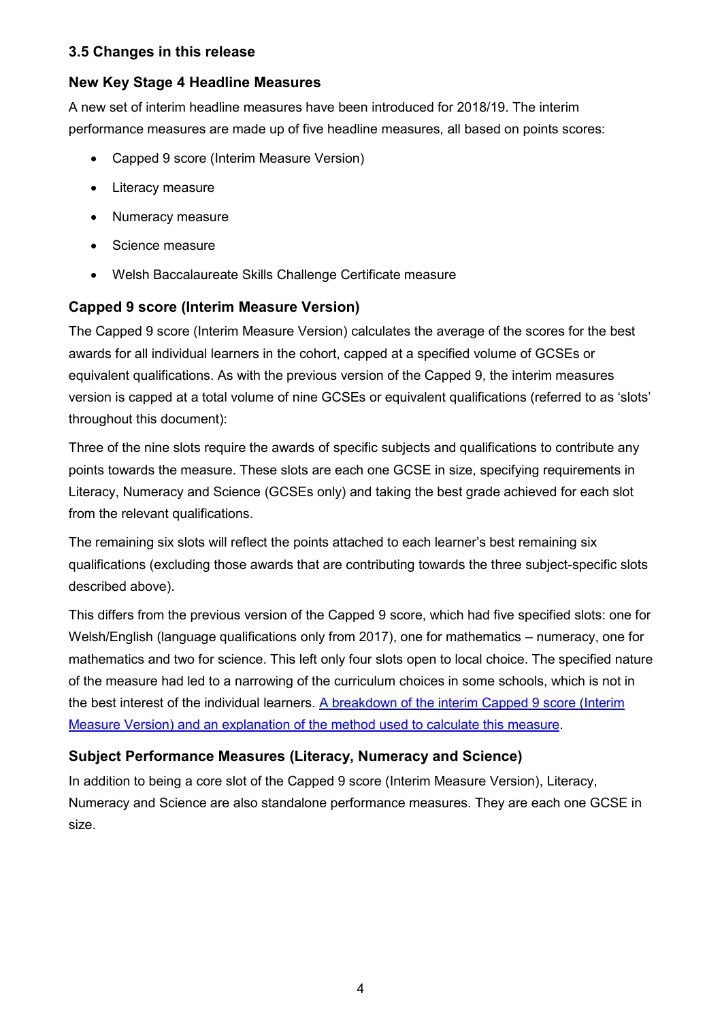#### **3.5 Changes in this release**

#### **New Key Stage 4 Headline Measures**

A new set of interim headline measures have been introduced for 2018/19. The interim performance measures are made up of five headline measures, all based on points scores:

- Capped 9 score (Interim Measure Version)
- Literacy measure
- Numeracy measure
- Science measure
- Welsh Baccalaureate Skills Challenge Certificate measure

#### **Capped 9 score (Interim Measure Version)**

The Capped 9 score (Interim Measure Version) calculates the average of the scores for the best awards for all individual learners in the cohort, capped at a specified volume of GCSEs or equivalent qualifications. As with the previous version of the Capped 9, the interim measures version is capped at a total volume of nine GCSEs or equivalent qualifications (referred to as 'slots' throughout this document):

Three of the nine slots require the awards of specific subjects and qualifications to contribute any points towards the measure. These slots are each one GCSE in size, specifying requirements in Literacy, Numeracy and Science (GCSEs only) and taking the best grade achieved for each slot from the relevant qualifications.

The remaining six slots will reflect the points attached to each learner's best remaining six qualifications (excluding those awards that are contributing towards the three subject-specific slots described above).

This differs from the previous version of the Capped 9 score, which had five specified slots: one for Welsh/English (language qualifications only from 2017), one for mathematics – numeracy, one for mathematics and two for science. This left only four slots open to local choice. The specified nature of the measure had led to a narrowing of the curriculum choices in some schools, which is not in the best interest of the individual learners. [A breakdown of the interim Capped 9 score \(Interim](https://gov.wales/capped-9-points-score-interim)  [Measure Version\) and an explanation of the method used to calculate this measure.](https://gov.wales/capped-9-points-score-interim)

#### **Subject Performance Measures (Literacy, Numeracy and Science)**

In addition to being a core slot of the Capped 9 score (Interim Measure Version), Literacy, Numeracy and Science are also standalone performance measures. They are each one GCSE in size.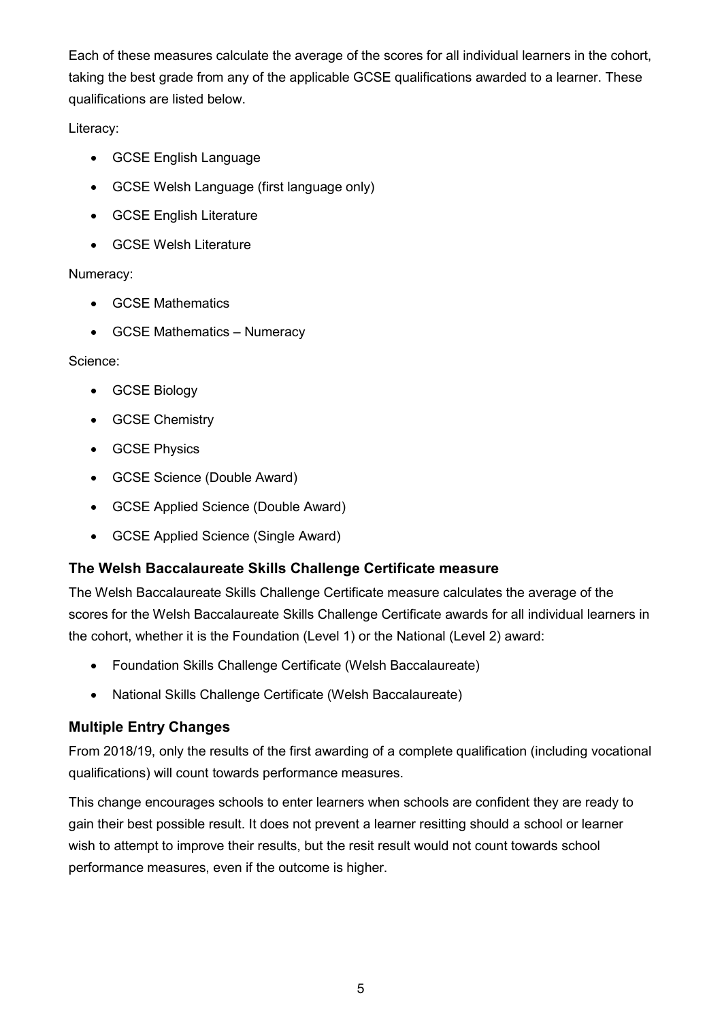Each of these measures calculate the average of the scores for all individual learners in the cohort, taking the best grade from any of the applicable GCSE qualifications awarded to a learner. These qualifications are listed below.

#### Literacy:

- GCSE English Language
- GCSE Welsh Language (first language only)
- GCSE English Literature
- GCSE Welsh Literature

#### Numeracy:

- GCSE Mathematics
- GCSE Mathematics Numeracy

#### Science:

- GCSE Biology
- GCSE Chemistry
- **•** GCSE Physics
- GCSE Science (Double Award)
- GCSE Applied Science (Double Award)
- GCSE Applied Science (Single Award)

### **The Welsh Baccalaureate Skills Challenge Certificate measure**

The Welsh Baccalaureate Skills Challenge Certificate measure calculates the average of the scores for the Welsh Baccalaureate Skills Challenge Certificate awards for all individual learners in the cohort, whether it is the Foundation (Level 1) or the National (Level 2) award:

- Foundation Skills Challenge Certificate (Welsh Baccalaureate)
- National Skills Challenge Certificate (Welsh Baccalaureate)

### **Multiple Entry Changes**

From 2018/19, only the results of the first awarding of a complete qualification (including vocational qualifications) will count towards performance measures.

This change encourages schools to enter learners when schools are confident they are ready to gain their best possible result. It does not prevent a learner resitting should a school or learner wish to attempt to improve their results, but the resit result would not count towards school performance measures, even if the outcome is higher.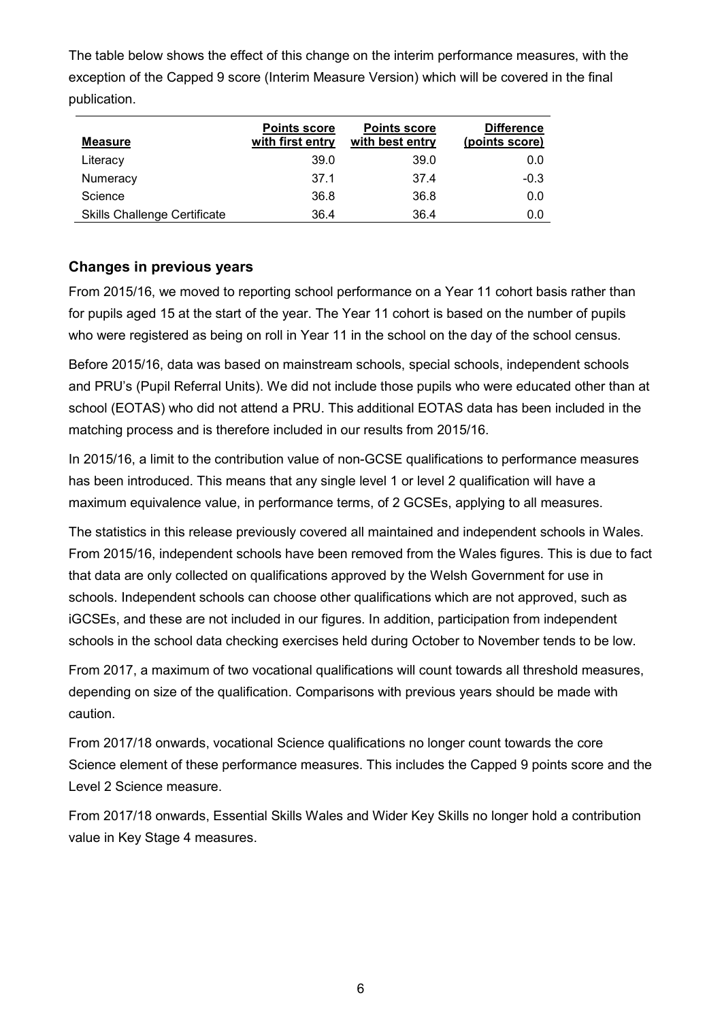The table below shows the effect of this change on the interim performance measures, with the exception of the Capped 9 score (Interim Measure Version) which will be covered in the final publication.

| <b>Measure</b>                      | <b>Points score</b><br>with first entry | <b>Points score</b><br>with best entry | <b>Difference</b><br>(points score) |
|-------------------------------------|-----------------------------------------|----------------------------------------|-------------------------------------|
| Literacy                            | 39.0                                    | 39.0                                   | 0.0                                 |
| Numeracy                            | 37.1                                    | 37.4                                   | $-0.3$                              |
| Science                             | 36.8                                    | 36.8                                   | 0.0                                 |
| <b>Skills Challenge Certificate</b> | 36.4                                    | 36.4                                   | 0.0                                 |

### **Changes in previous years**

From 2015/16, we moved to reporting school performance on a Year 11 cohort basis rather than for pupils aged 15 at the start of the year. The Year 11 cohort is based on the number of pupils who were registered as being on roll in Year 11 in the school on the day of the school census.

Before 2015/16, data was based on mainstream schools, special schools, independent schools and PRU's (Pupil Referral Units). We did not include those pupils who were educated other than at school (EOTAS) who did not attend a PRU. This additional EOTAS data has been included in the matching process and is therefore included in our results from 2015/16.

In 2015/16, a limit to the contribution value of non-GCSE qualifications to performance measures has been introduced. This means that any single level 1 or level 2 qualification will have a maximum equivalence value, in performance terms, of 2 GCSEs, applying to all measures.

The statistics in this release previously covered all maintained and independent schools in Wales. From 2015/16, independent schools have been removed from the Wales figures. This is due to fact that data are only collected on qualifications approved by the Welsh Government for use in schools. Independent schools can choose other qualifications which are not approved, such as iGCSEs, and these are not included in our figures. In addition, participation from independent schools in the school data checking exercises held during October to November tends to be low.

From 2017, a maximum of two vocational qualifications will count towards all threshold measures, depending on size of the qualification. Comparisons with previous years should be made with caution.

From 2017/18 onwards, vocational Science qualifications no longer count towards the core Science element of these performance measures. This includes the Capped 9 points score and the Level 2 Science measure.

From 2017/18 onwards, Essential Skills Wales and Wider Key Skills no longer hold a contribution value in Key Stage 4 measures.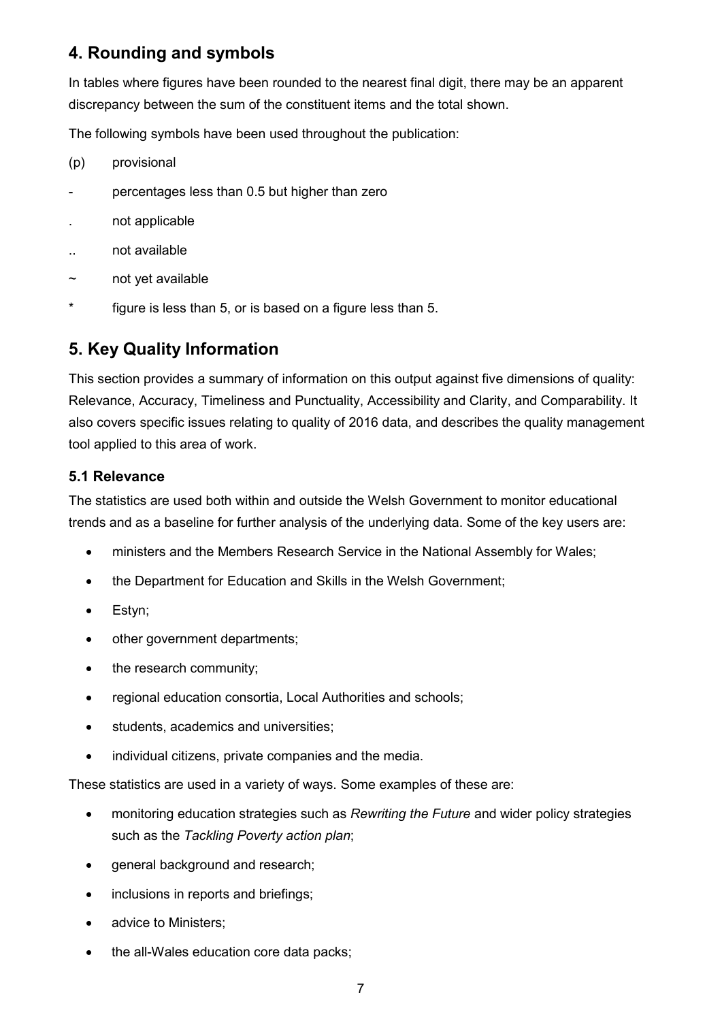## **4. Rounding and symbols**

In tables where figures have been rounded to the nearest final digit, there may be an apparent discrepancy between the sum of the constituent items and the total shown.

The following symbols have been used throughout the publication:

- (p) provisional
- percentages less than 0.5 but higher than zero
- . not applicable
- .. not available
- ~ not yet available
- \* figure is less than 5, or is based on a figure less than 5.

## **5. Key Quality Information**

This section provides a summary of information on this output against five dimensions of quality: Relevance, Accuracy, Timeliness and Punctuality, Accessibility and Clarity, and Comparability. It also covers specific issues relating to quality of 2016 data, and describes the quality management tool applied to this area of work.

#### **5.1 Relevance**

The statistics are used both within and outside the Welsh Government to monitor educational trends and as a baseline for further analysis of the underlying data. Some of the key users are:

- ministers and the Members Research Service in the National Assembly for Wales;
- the Department for Education and Skills in the Welsh Government;
- Estyn;
- other government departments;
- the research community;
- regional education consortia, Local Authorities and schools;
- students, academics and universities;
- individual citizens, private companies and the media.

These statistics are used in a variety of ways. Some examples of these are:

- monitoring education strategies such as *Rewriting the Future* and wider policy strategies such as the *Tackling Poverty action plan*;
- **e** general background and research;
- inclusions in reports and briefings;
- advice to Ministers:
- the all-Wales education core data packs: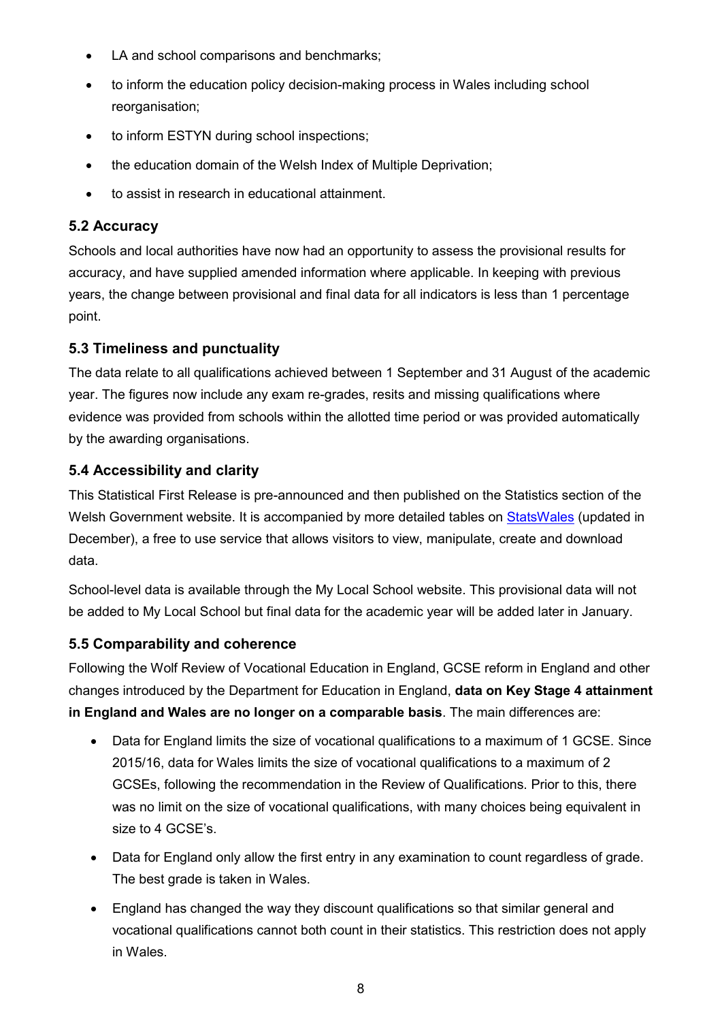- LA and school comparisons and benchmarks;
- to inform the education policy decision-making process in Wales including school reorganisation:
- to inform ESTYN during school inspections;
- the education domain of the Welsh Index of Multiple Deprivation;
- to assist in research in educational attainment.

#### **5.2 Accuracy**

Schools and local authorities have now had an opportunity to assess the provisional results for accuracy, and have supplied amended information where applicable. In keeping with previous years, the change between provisional and final data for all indicators is less than 1 percentage point.

#### **5.3 Timeliness and punctuality**

The data relate to all qualifications achieved between 1 September and 31 August of the academic year. The figures now include any exam re-grades, resits and missing qualifications where evidence was provided from schools within the allotted time period or was provided automatically by the awarding organisations.

#### **5.4 Accessibility and clarity**

This Statistical First Release is pre-announced and then published on the Statistics section of the Welsh Government website. It is accompanied by more detailed tables on [StatsWales](https://statswales.gov.wales/Catalogue/Education-and-Skills/Schools-and-Teachers/Examinations-and-Assessments) (updated in December), a free to use service that allows visitors to view, manipulate, create and download data.

School-level data is available through the My Local School website. This provisional data will not be added to My Local School but final data for the academic year will be added later in January.

#### **5.5 Comparability and coherence**

Following the Wolf Review of Vocational Education in England, GCSE reform in England and other changes introduced by the Department for Education in England, **data on Key Stage 4 attainment in England and Wales are no longer on a comparable basis**. The main differences are:

- Data for England limits the size of vocational qualifications to a maximum of 1 GCSE. Since 2015/16, data for Wales limits the size of vocational qualifications to a maximum of 2 GCSEs, following the recommendation in the Review of Qualifications. Prior to this, there was no limit on the size of vocational qualifications, with many choices being equivalent in size to 4 GCSE's.
- Data for England only allow the first entry in any examination to count regardless of grade. The best grade is taken in Wales.
- England has changed the way they discount qualifications so that similar general and vocational qualifications cannot both count in their statistics. This restriction does not apply in Wales.